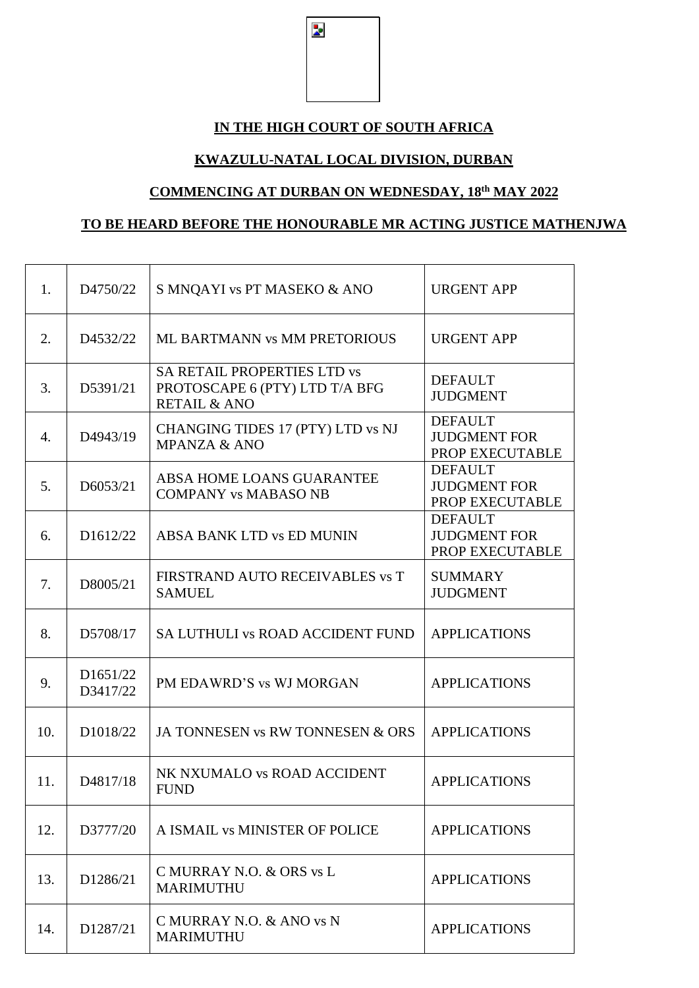$\overline{\mathbf{z}}$ 

## **IN THE HIGH COURT OF SOUTH AFRICA**

## **KWAZULU-NATAL LOCAL DIVISION, DURBAN**

## **COMMENCING AT DURBAN ON WEDNESDAY, 18 th MAY 2022**

## **TO BE HEARD BEFORE THE HONOURABLE MR ACTING JUSTICE MATHENJWA**

| 1.               | D4750/22             | S MNQAYI vs PT MASEKO & ANO                                                                     | <b>URGENT APP</b>                                        |
|------------------|----------------------|-------------------------------------------------------------------------------------------------|----------------------------------------------------------|
| 2.               | D4532/22             | ML BARTMANN vs MM PRETORIOUS                                                                    | <b>URGENT APP</b>                                        |
| 3.               | D5391/21             | <b>SA RETAIL PROPERTIES LTD vs</b><br>PROTOSCAPE 6 (PTY) LTD T/A BFG<br><b>RETAIL &amp; ANO</b> | <b>DEFAULT</b><br><b>JUDGMENT</b>                        |
| $\overline{4}$ . | D4943/19             | CHANGING TIDES 17 (PTY) LTD vs NJ<br><b>MPANZA &amp; ANO</b>                                    | <b>DEFAULT</b><br><b>JUDGMENT FOR</b><br>PROP EXECUTABLE |
| 5.               | D6053/21             | ABSA HOME LOANS GUARANTEE<br><b>COMPANY vs MABASO NB</b>                                        | <b>DEFAULT</b><br><b>JUDGMENT FOR</b><br>PROP EXECUTABLE |
| 6.               | D1612/22             | ABSA BANK LTD vs ED MUNIN                                                                       | <b>DEFAULT</b><br><b>JUDGMENT FOR</b><br>PROP EXECUTABLE |
| 7.               | D8005/21             | FIRSTRAND AUTO RECEIVABLES vs T<br><b>SAMUEL</b>                                                | <b>SUMMARY</b><br><b>JUDGMENT</b>                        |
| 8.               | D5708/17             | <b>SA LUTHULI VS ROAD ACCIDENT FUND</b>                                                         | <b>APPLICATIONS</b>                                      |
| 9.               | D1651/22<br>D3417/22 | PM EDAWRD'S vs WJ MORGAN                                                                        | <b>APPLICATIONS</b>                                      |
| 10.              | D1018/22             | JA TONNESEN vs RW TONNESEN & ORS                                                                | <b>APPLICATIONS</b>                                      |
| 11.              | D4817/18             | NK NXUMALO vs ROAD ACCIDENT<br><b>FUND</b>                                                      | <b>APPLICATIONS</b>                                      |
| 12.              | D3777/20             | A ISMAIL vs MINISTER OF POLICE                                                                  | <b>APPLICATIONS</b>                                      |
| 13.              | D1286/21             | C MURRAY N.O. & ORS vs L<br><b>MARIMUTHU</b>                                                    | <b>APPLICATIONS</b>                                      |
| 14.              | D1287/21             | C MURRAY N.O. & ANO vs N<br><b>MARIMUTHU</b>                                                    | <b>APPLICATIONS</b>                                      |